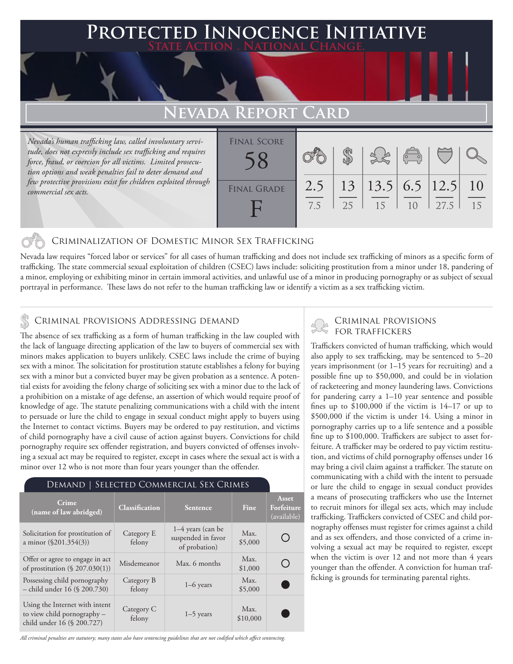### **PTED INNOCENCE INITIATIVE State Action . National Change.**

## **FVADA REPORT**

*Nevada's human trafficking law, called involuntary servitude, does not expressly include sex trafficking and requires force, fraud, or coercion for all victims. Limited prosecution options and weak penalties fail to deter demand and few protective provisions exist for children exploited through commercial sex acts.*

| <b>FINAL SCORE</b> |            |    |                               | $\overline{\mathcal{C}}$ |      |          |
|--------------------|------------|----|-------------------------------|--------------------------|------|----------|
| <b>FINAL GRADE</b> | 2.5<br>7.5 | 25 | 13   13.5   6.5   12.5 <br>15 | 10                       | 27.5 | 10<br>15 |

#### Criminalization of Domestic Minor Sex Trafficking

Nevada law requires "forced labor or services" for all cases of human trafficking and does not include sex trafficking of minors as a specific form of trafficking. The state commercial sexual exploitation of children (CSEC) laws include: soliciting prostitution from a minor under 18, pandering of a minor, employing or exhibiting minor in certain immoral activities, and unlawful use of a minor in producing pornography or as subject of sexual portrayal in performance. These laws do not refer to the human trafficking law or identify a victim as a sex trafficking victim.

#### Criminal provisions Addressing demand

The absence of sex trafficking as a form of human trafficking in the law coupled with the lack of language directing application of the law to buyers of commercial sex with minors makes application to buyers unlikely. CSEC laws include the crime of buying sex with a minor. The solicitation for prostitution statute establishes a felony for buying sex with a minor but a convicted buyer may be given probation as a sentence. A potential exists for avoiding the felony charge of soliciting sex with a minor due to the lack of a prohibition on a mistake of age defense, an assertion of which would require proof of knowledge of age. The statute penalizing communications with a child with the intent to persuade or lure the child to engage in sexual conduct might apply to buyers using the Internet to contact victims. Buyers may be ordered to pay restitution, and victims of child pornography have a civil cause of action against buyers. Convictions for child pornography require sex offender registration, and buyers convicted of offenses involving a sexual act may be required to register, except in cases where the sexual act is with a minor over 12 who is not more than four years younger than the offender.

#### Demand | Selected Commercial Sex Crimes

| Crime<br>(name of law abridged)                                                             | <b>Classification</b> | Sentence                                                   | Fine             | <b>Asset</b><br>Forfeiture<br>(available) |
|---------------------------------------------------------------------------------------------|-----------------------|------------------------------------------------------------|------------------|-------------------------------------------|
| Solicitation for prostitution of<br>a minor $(\$201.354(3))$                                | Category E<br>felony  | $1-4$ years (can be<br>suspended in favor<br>of probation) | Max.<br>\$5,000  |                                           |
| Offer or agree to engage in act<br>of prostitution $(\S 207.030(1))$                        | Misdemeanor           | Max. 6 months                                              | Max.<br>\$1,000  |                                           |
| Possessing child pornography<br>- child under 16 (§ 200.730)                                | Category B<br>felony  | $1-6$ years                                                | Max.<br>\$5,000  |                                           |
| Using the Internet with intent<br>to view child pornography -<br>child under 16 (§ 200.727) | Category C<br>felony  | $1-5$ years                                                | Max.<br>\$10,000 |                                           |

# Criminal provisions

Traffickers convicted of human trafficking, which would also apply to sex trafficking, may be sentenced to 5–20 years imprisonment (or 1–15 years for recruiting) and a possible fine up to \$50,000, and could be in violation of racketeering and money laundering laws. Convictions for pandering carry a 1–10 year sentence and possible fines up to \$100,000 if the victim is 14–17 or up to \$500,000 if the victim is under 14. Using a minor in pornography carries up to a life sentence and a possible fine up to \$100,000. Traffickers are subject to asset forfeiture. A trafficker may be ordered to pay victim restitution, and victims of child pornography offenses under 16 may bring a civil claim against a trafficker. The statute on communicating with a child with the intent to persuade or lure the child to engage in sexual conduct provides a means of prosecuting traffickers who use the Internet to recruit minors for illegal sex acts, which may include trafficking. Traffickers convicted of CSEC and child pornography offenses must register for crimes against a child and as sex offenders, and those convicted of a crime involving a sexual act may be required to register, except when the victim is over 12 and not more than 4 years younger than the offender. A conviction for human trafficking is grounds for terminating parental rights.

*All criminal penalties are statutory; many states also have sentencing guidelines that are not codified which affect sentencing.*